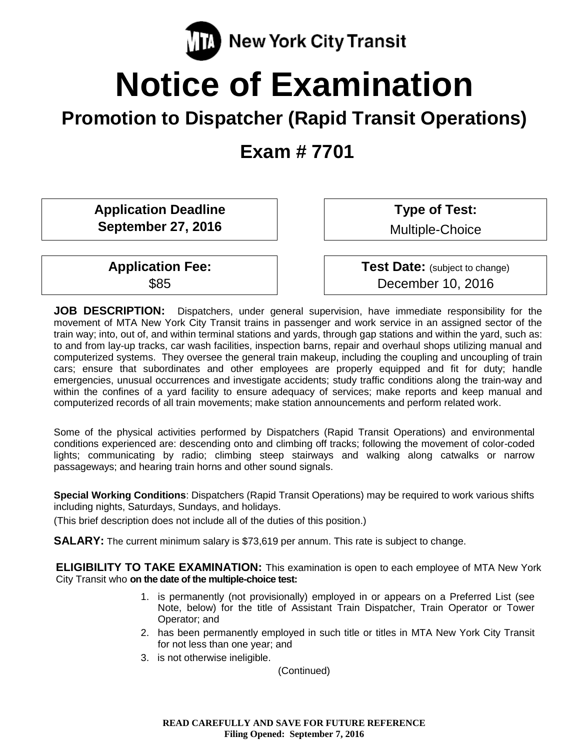

# **Notice of Examination**

# **Promotion to Dispatcher (Rapid Transit Operations)**

**Exam # 7701**

**Application Deadline September 27, 2016**

**Application Fee:** \$85

**Type of Test:** 

Multiple-Choice

**Test Date:** (subject to change) December 10, 2016

**JOB DESCRIPTION:** Dispatchers, under general supervision, have immediate responsibility for the movement of MTA New York City Transit trains in passenger and work service in an assigned sector of the train way; into, out of, and within terminal stations and yards, through gap stations and within the yard, such as: to and from lay-up tracks, car wash facilities, inspection barns, repair and overhaul shops utilizing manual and computerized systems. They oversee the general train makeup, including the coupling and uncoupling of train cars; ensure that subordinates and other employees are properly equipped and fit for duty; handle emergencies, unusual occurrences and investigate accidents; study traffic conditions along the train-way and within the confines of a yard facility to ensure adequacy of services; make reports and keep manual and computerized records of all train movements; make station announcements and perform related work.

Some of the physical activities performed by Dispatchers (Rapid Transit Operations) and environmental conditions experienced are: descending onto and climbing off tracks; following the movement of color-coded lights; communicating by radio; climbing steep stairways and walking along catwalks or narrow passageways; and hearing train horns and other sound signals.

**Special Working Conditions**: Dispatchers (Rapid Transit Operations) may be required to work various shifts including nights, Saturdays, Sundays, and holidays.

(This brief description does not include all of the duties of this position.)

**SALARY:** The current minimum salary is \$73,619 per annum. This rate is subject to change.

**ELIGIBILITY TO TAKE EXAMINATION:** This examination is open to each employee of MTA New York City Transit who **on the date of the multiple-choice test:**

- 1. is permanently (not provisionally) employed in or appears on a Preferred List (see Note, below) for the title of Assistant Train Dispatcher, Train Operator or Tower Operator; and
- 2. has been permanently employed in such title or titles in MTA New York City Transit for not less than one year; and
- 3. is not otherwise ineligible.

(Continued)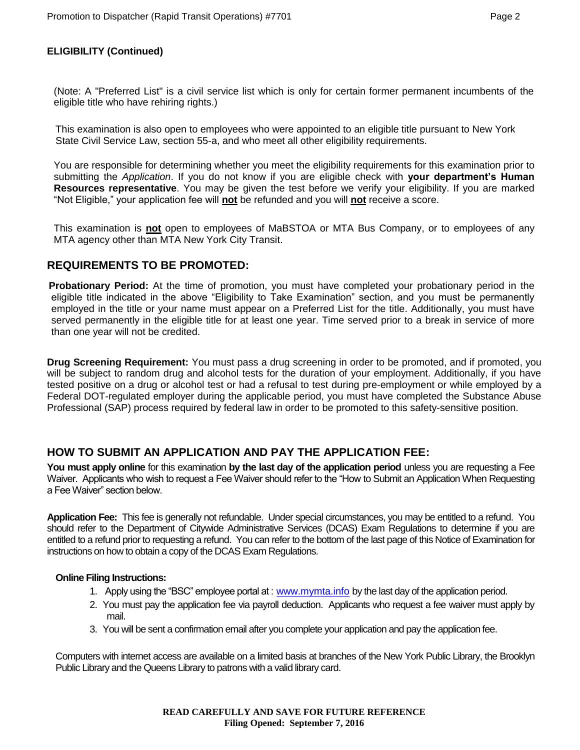## **ELIGIBILITY (Continued)**

(Note: A "Preferred List" is a civil service list which is only for certain former permanent incumbents of the eligible title who have rehiring rights.)

This examination is also open to employees who were appointed to an eligible title pursuant to New York State Civil Service Law, section 55-a, and who meet all other eligibility requirements.

You are responsible for determining whether you meet the eligibility requirements for this examination prior to submitting the *Application*. If you do not know if you are eligible check with **your department's Human Resources representative**. You may be given the test before we verify your eligibility. If you are marked "Not Eligible," your application fee will **not** be refunded and you will **not** receive a score.

This examination is **not** open to employees of MaBSTOA or MTA Bus Company, or to employees of any MTA agency other than MTA New York City Transit.

# **REQUIREMENTS TO BE PROMOTED:**

**Probationary Period:** At the time of promotion, you must have completed your probationary period in the eligible title indicated in the above "Eligibility to Take Examination" section, and you must be permanently employed in the title or your name must appear on a Preferred List for the title. Additionally, you must have served permanently in the eligible title for at least one year. Time served prior to a break in service of more than one year will not be credited.

**Drug Screening Requirement:** You must pass a drug screening in order to be promoted, and if promoted, you will be subject to random drug and alcohol tests for the duration of your employment. Additionally, if you have tested positive on a drug or alcohol test or had a refusal to test during pre-employment or while employed by a Federal DOT-regulated employer during the applicable period, you must have completed the Substance Abuse Professional (SAP) process required by federal law in order to be promoted to this safety-sensitive position.

# **HOW TO SUBMIT AN APPLICATION AND PAY THE APPLICATION FEE:**

You must apply online for this examination by the last day of the application period unless you are requesting a Fee Waiver. Applicants who wish to request a Fee Waiver should refer to the "How to Submit an Application When Requesting a Fee Waiver" section below.

**Application Fee:** This fee is generally not refundable. Under special circumstances, you may be entitled to a refund. You should refer to the Department of Citywide Administrative Services (DCAS) Exam Regulations to determine if you are entitled to a refund prior to requesting a refund. You can refer to the bottom of the last page of this Notice of Examination for instructions on how to obtain a copy of the DCAS Exam Regulations.

#### **Online Filing Instructions:**

- 1. Apply using the "BSC" employee portal at : [www.mymta.info](../../AppData/Local/Microsoft/Windows/Temporary%20Internet%20Files/Content.Outlook/30OI7UEJ/www.mymta.info) by the last day of the application period.
- 2. You must pay the application fee via payroll deduction. Applicants who request a fee waiver must apply by mail.
- 3. You will be sent a confirmation email after you complete your application and pay the application fee.

Computers with internet access are available on a limited basis at branches of the New York Public Library, the Brooklyn Public Library and the Queens Library to patrons with a valid library card.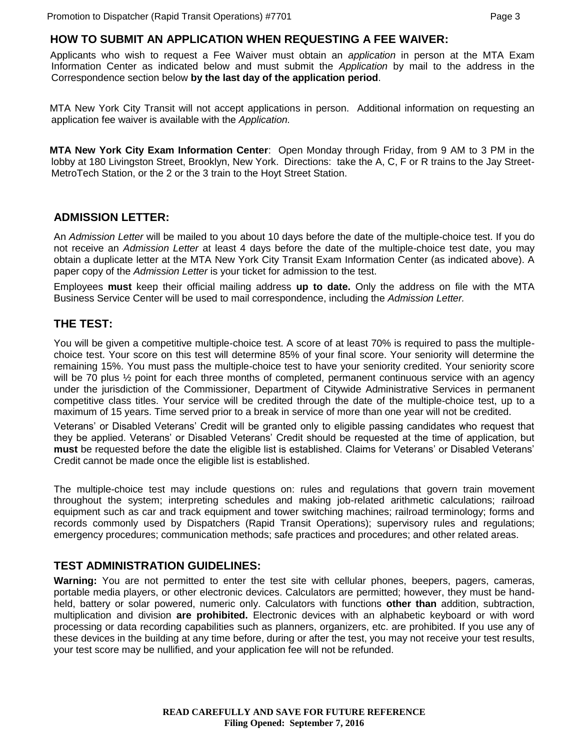# **HOW TO SUBMIT AN APPLICATION WHEN REQUESTING A FEE WAIVER:**

Applicants who wish to request a Fee Waiver must obtain an *application* in person at the MTA Exam Information Center as indicated below and must submit the *Application* by mail to the address in the Correspondence section below **by the last day of the application period**.

MTA New York City Transit will not accept applications in person. Additional information on requesting an application fee waiver is available with the *Application.*

**MTA New York City Exam Information Center**: Open Monday through Friday, from 9 AM to 3 PM in the lobby at 180 Livingston Street, Brooklyn, New York. Directions: take the A, C, F or R trains to the Jay Street-MetroTech Station, or the 2 or the 3 train to the Hoyt Street Station.

# **ADMISSION LETTER:**

An *Admission Letter* will be mailed to you about 10 days before the date of the multiple-choice test. If you do not receive an *Admission Letter* at least 4 days before the date of the multiple-choice test date, you may obtain a duplicate letter at the MTA New York City Transit Exam Information Center (as indicated above). A paper copy of the *Admission Letter* is your ticket for admission to the test.

Employees **must** keep their official mailing address **up to date.** Only the address on file with the MTA Business Service Center will be used to mail correspondence, including the *Admission Letter.*

## **THE TEST:**

You will be given a competitive multiple-choice test. A score of at least 70% is required to pass the multiplechoice test. Your score on this test will determine 85% of your final score. Your seniority will determine the remaining 15%. You must pass the multiple-choice test to have your seniority credited. Your seniority score will be 70 plus ½ point for each three months of completed, permanent continuous service with an agency under the jurisdiction of the Commissioner, Department of Citywide Administrative Services in permanent competitive class titles. Your service will be credited through the date of the multiple-choice test, up to a maximum of 15 years. Time served prior to a break in service of more than one year will not be credited.

Veterans' or Disabled Veterans' Credit will be granted only to eligible passing candidates who request that they be applied. Veterans' or Disabled Veterans' Credit should be requested at the time of application, but **must** be requested before the date the eligible list is established. Claims for Veterans' or Disabled Veterans' Credit cannot be made once the eligible list is established.

The multiple-choice test may include questions on: rules and regulations that govern train movement throughout the system; interpreting schedules and making job-related arithmetic calculations; railroad equipment such as car and track equipment and tower switching machines; railroad terminology; forms and records commonly used by Dispatchers (Rapid Transit Operations); supervisory rules and regulations; emergency procedures; communication methods; safe practices and procedures; and other related areas.

#### **TEST ADMINISTRATION GUIDELINES:**

**Warning:** You are not permitted to enter the test site with cellular phones, beepers, pagers, cameras, portable media players, or other electronic devices. Calculators are permitted; however, they must be handheld, battery or solar powered, numeric only. Calculators with functions **other than** addition, subtraction, multiplication and division **are prohibited.** Electronic devices with an alphabetic keyboard or with word processing or data recording capabilities such as planners, organizers, etc. are prohibited. If you use any of these devices in the building at any time before, during or after the test, you may not receive your test results, your test score may be nullified, and your application fee will not be refunded.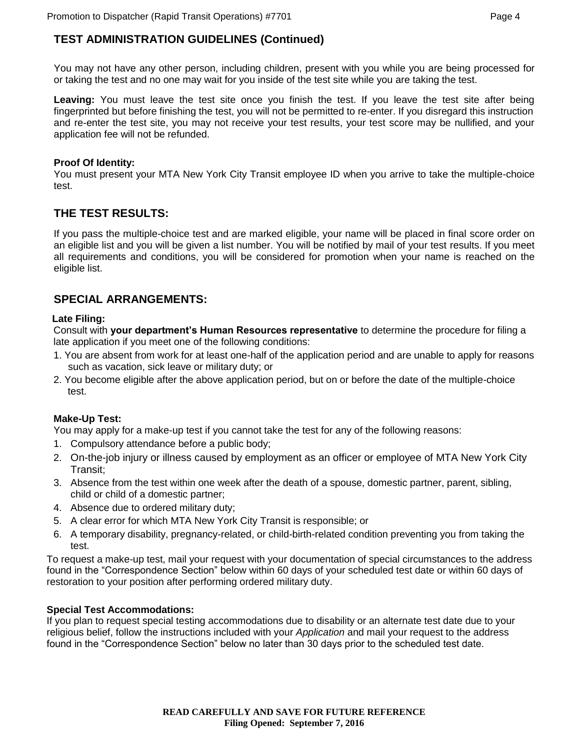# **TEST ADMINISTRATION GUIDELINES (Continued)**

You may not have any other person, including children, present with you while you are being processed for or taking the test and no one may wait for you inside of the test site while you are taking the test.

**Leaving:** You must leave the test site once you finish the test. If you leave the test site after being fingerprinted but before finishing the test, you will not be permitted to re-enter. If you disregard this instruction and re-enter the test site, you may not receive your test results, your test score may be nullified, and your application fee will not be refunded.

#### **Proof Of Identity:**

You must present your MTA New York City Transit employee ID when you arrive to take the multiple-choice test.

# **THE TEST RESULTS:**

If you pass the multiple-choice test and are marked eligible, your name will be placed in final score order on an eligible list and you will be given a list number. You will be notified by mail of your test results. If you meet all requirements and conditions, you will be considered for promotion when your name is reached on the eligible list.

# **SPECIAL ARRANGEMENTS:**

#### **Late Filing:**

Consult with **your department's Human Resources representative** to determine the procedure for filing a late application if you meet one of the following conditions:

- 1. You are absent from work for at least one-half of the application period and are unable to apply for reasons such as vacation, sick leave or military duty; or
- 2. You become eligible after the above application period, but on or before the date of the multiple-choice test.

#### **Make-Up Test:**

You may apply for a make-up test if you cannot take the test for any of the following reasons:

- 1. Compulsory attendance before a public body;
- 2. On-the-job injury or illness caused by employment as an officer or employee of MTA New York City Transit;
- 3. Absence from the test within one week after the death of a spouse, domestic partner, parent, sibling, child or child of a domestic partner;
- 4. Absence due to ordered military duty;
- 5. A clear error for which MTA New York City Transit is responsible; or
- 6. A temporary disability, pregnancy-related, or child-birth-related condition preventing you from taking the test.

To request a make-up test, mail your request with your documentation of special circumstances to the address found in the "Correspondence Section" below within 60 days of your scheduled test date or within 60 days of restoration to your position after performing ordered military duty.

#### **Special Test Accommodations:**

If you plan to request special testing accommodations due to disability or an alternate test date due to your religious belief, follow the instructions included with your *Application* and mail your request to the address found in the "Correspondence Section" below no later than 30 days prior to the scheduled test date.